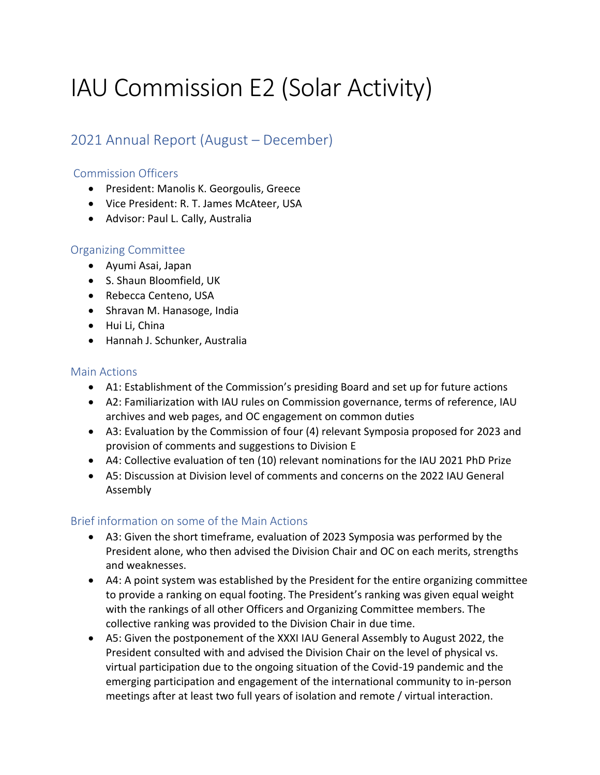# IAU Commission E2 (Solar Activity)

# 2021 Annual Report (August – December)

## Commission Officers

- President: Manolis K. Georgoulis, Greece
- Vice President: R. T. James McAteer, USA
- Advisor: Paul L. Cally, Australia

### Organizing Committee

- Ayumi Asai, Japan
- S. Shaun Bloomfield, UK
- Rebecca Centeno, USA
- Shravan M. Hanasoge, India
- Hui Li, China
- Hannah J. Schunker, Australia

#### Main Actions

- A1: Establishment of the Commission's presiding Board and set up for future actions
- A2: Familiarization with IAU rules on Commission governance, terms of reference, IAU archives and web pages, and OC engagement on common duties
- A3: Evaluation by the Commission of four (4) relevant Symposia proposed for 2023 and provision of comments and suggestions to Division E
- A4: Collective evaluation of ten (10) relevant nominations for the IAU 2021 PhD Prize
- A5: Discussion at Division level of comments and concerns on the 2022 IAU General Assembly

### Brief information on some of the Main Actions

- A3: Given the short timeframe, evaluation of 2023 Symposia was performed by the President alone, who then advised the Division Chair and OC on each merits, strengths and weaknesses.
- A4: A point system was established by the President for the entire organizing committee to provide a ranking on equal footing. The President's ranking was given equal weight with the rankings of all other Officers and Organizing Committee members. The collective ranking was provided to the Division Chair in due time.
- A5: Given the postponement of the XXXI IAU General Assembly to August 2022, the President consulted with and advised the Division Chair on the level of physical vs. virtual participation due to the ongoing situation of the Covid-19 pandemic and the emerging participation and engagement of the international community to in-person meetings after at least two full years of isolation and remote / virtual interaction.